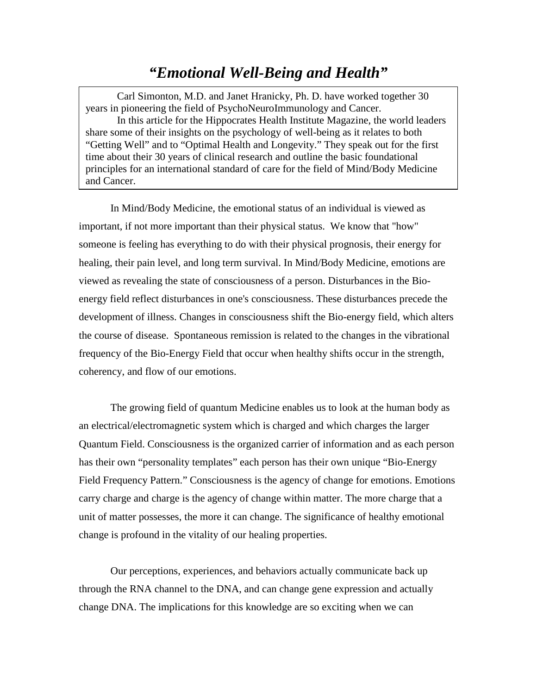## *"Emotional Well-Being and Health"*

Carl Simonton, M.D. and Janet Hranicky, Ph. D. have worked together 30 years in pioneering the field of PsychoNeuroImmunology and Cancer. In this article for the Hippocrates Health Institute Magazine, the world leaders share some of their insights on the psychology of well-being as it relates to both "Getting Well" and to "Optimal Health and Longevity." They speak out for the first time about their 30 years of clinical research and outline the basic foundational principles for an international standard of care for the field of Mind/Body Medicine and Cancer.

In Mind/Body Medicine, the emotional status of an individual is viewed as important, if not more important than their physical status. We know that "how" someone is feeling has everything to do with their physical prognosis, their energy for healing, their pain level, and long term survival. In Mind/Body Medicine, emotions are viewed as revealing the state of consciousness of a person. Disturbances in the Bioenergy field reflect disturbances in one's consciousness. These disturbances precede the development of illness. Changes in consciousness shift the Bio-energy field, which alters the course of disease. Spontaneous remission is related to the changes in the vibrational frequency of the Bio-Energy Field that occur when healthy shifts occur in the strength, coherency, and flow of our emotions.

The growing field of quantum Medicine enables us to look at the human body as an electrical/electromagnetic system which is charged and which charges the larger Quantum Field. Consciousness is the organized carrier of information and as each person has their own "personality templates" each person has their own unique "Bio-Energy Field Frequency Pattern." Consciousness is the agency of change for emotions. Emotions carry charge and charge is the agency of change within matter. The more charge that a unit of matter possesses, the more it can change. The significance of healthy emotional change is profound in the vitality of our healing properties.

Our perceptions, experiences, and behaviors actually communicate back up through the RNA channel to the DNA, and can change gene expression and actually change DNA. The implications for this knowledge are so exciting when we can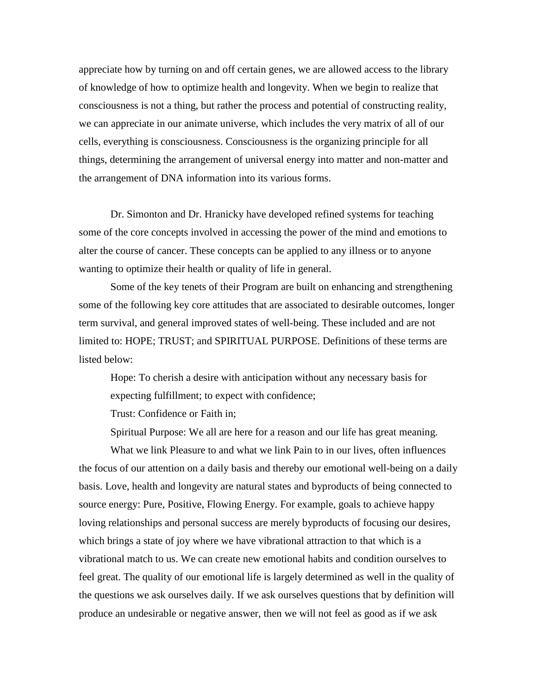appreciate how by turning on and off certain genes, we are allowed access to the library of knowledge of how to optimize health and longevity. When we begin to realize that consciousness is not a thing, but rather the process and potential of constructing reality, we can appreciate in our animate universe, which includes the very matrix of all of our cells, everything is consciousness. Consciousness is the organizing principle for all things, determining the arrangement of universal energy into matter and non-matter and the arrangement of DNA information into its various forms.

Dr. Simonton and Dr. Hranicky have developed refined systems for teaching some of the core concepts involved in accessing the power of the mind and emotions to alter the course of cancer. These concepts can be applied to any illness or to anyone wanting to optimize their health or quality of life in general.

Some of the key tenets of their Program are built on enhancing and strengthening some of the following key core attitudes that are associated to desirable outcomes, longer term survival, and general improved states of well-being. These included and are not limited to: HOPE; TRUST; and SPIRITUAL PURPOSE. Definitions of these terms are listed below:

Hope: To cherish a desire with anticipation without any necessary basis for expecting fulfillment; to expect with confidence;

Trust: Confidence or Faith in;

Spiritual Purpose: We all are here for a reason and our life has great meaning.

What we link Pleasure to and what we link Pain to in our lives, often influences the focus of our attention on a daily basis and thereby our emotional well-being on a daily basis. Love, health and longevity are natural states and byproducts of being connected to source energy: Pure, Positive, Flowing Energy. For example, goals to achieve happy loving relationships and personal success are merely byproducts of focusing our desires, which brings a state of joy where we have vibrational attraction to that which is a vibrational match to us. We can create new emotional habits and condition ourselves to feel great. The quality of our emotional life is largely determined as well in the quality of the questions we ask ourselves daily. If we ask ourselves questions that by definition will produce an undesirable or negative answer, then we will not feel as good as if we ask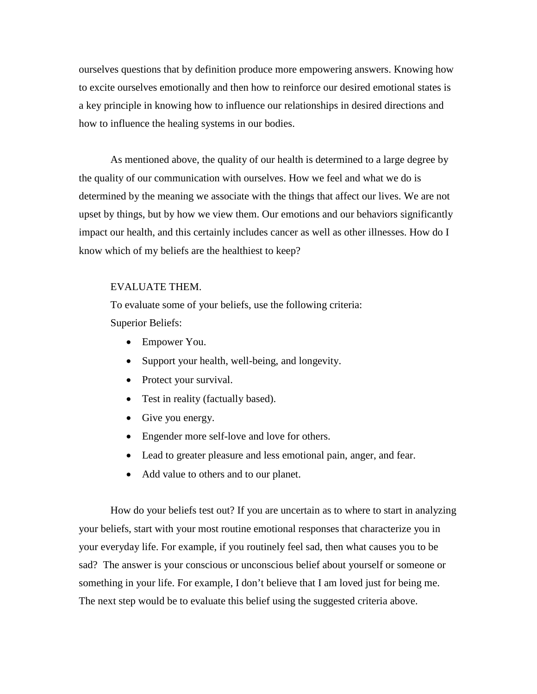ourselves questions that by definition produce more empowering answers. Knowing how to excite ourselves emotionally and then how to reinforce our desired emotional states is a key principle in knowing how to influence our relationships in desired directions and how to influence the healing systems in our bodies.

As mentioned above, the quality of our health is determined to a large degree by the quality of our communication with ourselves. How we feel and what we do is determined by the meaning we associate with the things that affect our lives. We are not upset by things, but by how we view them. Our emotions and our behaviors significantly impact our health, and this certainly includes cancer as well as other illnesses. How do I know which of my beliefs are the healthiest to keep?

## EVALUATE THEM.

To evaluate some of your beliefs, use the following criteria: Superior Beliefs:

- Empower You.
- Support your health, well-being, and longevity.
- Protect your survival.
- Test in reality (factually based).
- Give you energy.
- Engender more self-love and love for others.
- Lead to greater pleasure and less emotional pain, anger, and fear.
- Add value to others and to our planet.

How do your beliefs test out? If you are uncertain as to where to start in analyzing your beliefs, start with your most routine emotional responses that characterize you in your everyday life. For example, if you routinely feel sad, then what causes you to be sad? The answer is your conscious or unconscious belief about yourself or someone or something in your life. For example, I don't believe that I am loved just for being me. The next step would be to evaluate this belief using the suggested criteria above.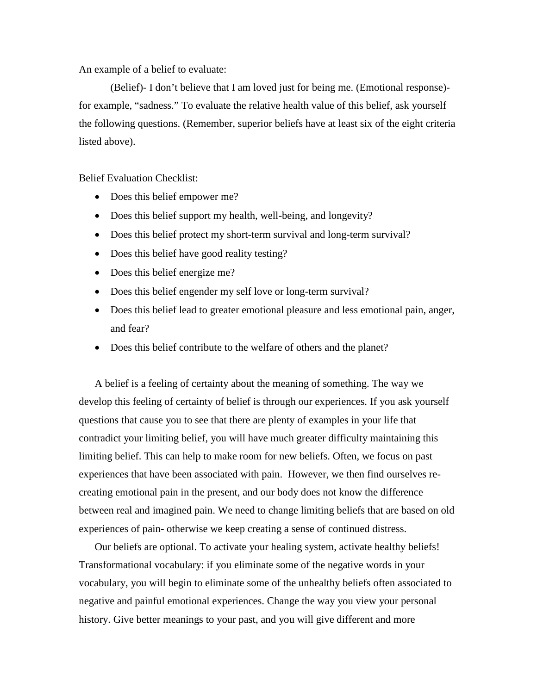An example of a belief to evaluate:

(Belief)- I don't believe that I am loved just for being me. (Emotional response) for example, "sadness." To evaluate the relative health value of this belief, ask yourself the following questions. (Remember, superior beliefs have at least six of the eight criteria listed above).

Belief Evaluation Checklist:

- Does this belief empower me?
- Does this belief support my health, well-being, and longevity?
- Does this belief protect my short-term survival and long-term survival?
- Does this belief have good reality testing?
- Does this belief energize me?
- Does this belief engender my self love or long-term survival?
- Does this belief lead to greater emotional pleasure and less emotional pain, anger, and fear?
- Does this belief contribute to the welfare of others and the planet?

A belief is a feeling of certainty about the meaning of something. The way we develop this feeling of certainty of belief is through our experiences. If you ask yourself questions that cause you to see that there are plenty of examples in your life that contradict your limiting belief, you will have much greater difficulty maintaining this limiting belief. This can help to make room for new beliefs. Often, we focus on past experiences that have been associated with pain. However, we then find ourselves recreating emotional pain in the present, and our body does not know the difference between real and imagined pain. We need to change limiting beliefs that are based on old experiences of pain- otherwise we keep creating a sense of continued distress.

Our beliefs are optional. To activate your healing system, activate healthy beliefs! Transformational vocabulary: if you eliminate some of the negative words in your vocabulary, you will begin to eliminate some of the unhealthy beliefs often associated to negative and painful emotional experiences. Change the way you view your personal history. Give better meanings to your past, and you will give different and more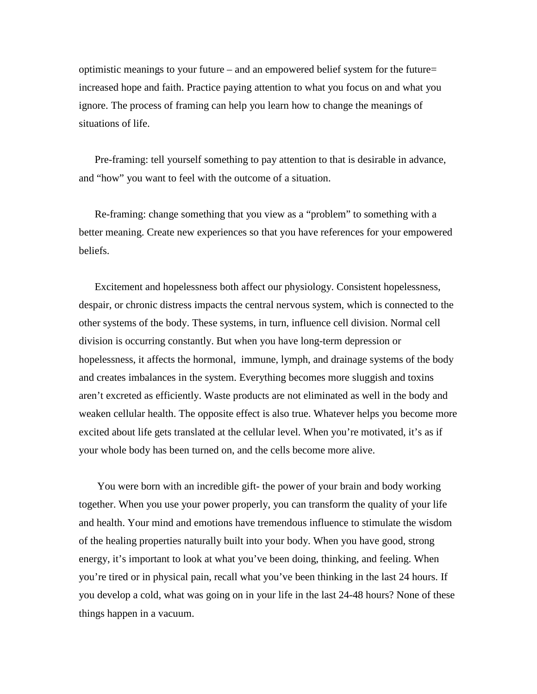optimistic meanings to your future – and an empowered belief system for the future= increased hope and faith. Practice paying attention to what you focus on and what you ignore. The process of framing can help you learn how to change the meanings of situations of life.

Pre-framing: tell yourself something to pay attention to that is desirable in advance, and "how" you want to feel with the outcome of a situation.

Re-framing: change something that you view as a "problem" to something with a better meaning. Create new experiences so that you have references for your empowered beliefs.

Excitement and hopelessness both affect our physiology. Consistent hopelessness, despair, or chronic distress impacts the central nervous system, which is connected to the other systems of the body. These systems, in turn, influence cell division. Normal cell division is occurring constantly. But when you have long-term depression or hopelessness, it affects the hormonal, immune, lymph, and drainage systems of the body and creates imbalances in the system. Everything becomes more sluggish and toxins aren't excreted as efficiently. Waste products are not eliminated as well in the body and weaken cellular health. The opposite effect is also true. Whatever helps you become more excited about life gets translated at the cellular level. When you're motivated, it's as if your whole body has been turned on, and the cells become more alive.

You were born with an incredible gift- the power of your brain and body working together. When you use your power properly, you can transform the quality of your life and health. Your mind and emotions have tremendous influence to stimulate the wisdom of the healing properties naturally built into your body. When you have good, strong energy, it's important to look at what you've been doing, thinking, and feeling. When you're tired or in physical pain, recall what you've been thinking in the last 24 hours. If you develop a cold, what was going on in your life in the last 24-48 hours? None of these things happen in a vacuum.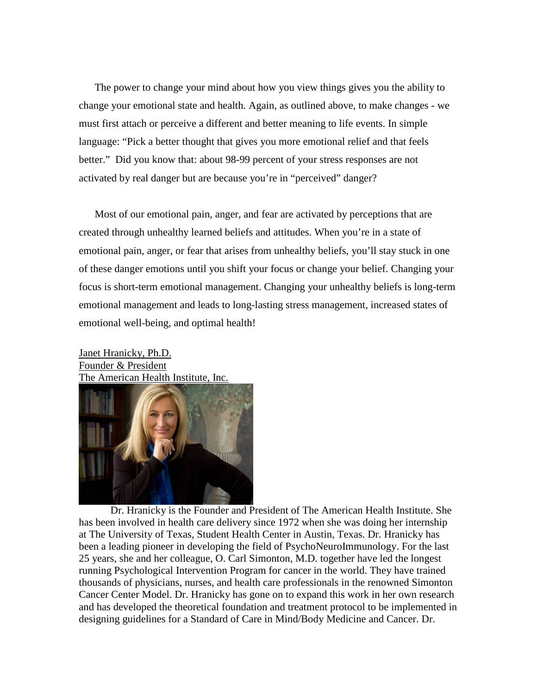The power to change your mind about how you view things gives you the ability to change your emotional state and health. Again, as outlined above, to make changes - we must first attach or perceive a different and better meaning to life events. In simple language: "Pick a better thought that gives you more emotional relief and that feels better." Did you know that: about 98-99 percent of your stress responses are not activated by real danger but are because you're in "perceived" danger?

Most of our emotional pain, anger, and fear are activated by perceptions that are created through unhealthy learned beliefs and attitudes. When you're in a state of emotional pain, anger, or fear that arises from unhealthy beliefs, you'll stay stuck in one of these danger emotions until you shift your focus or change your belief. Changing your focus is short-term emotional management. Changing your unhealthy beliefs is long-term emotional management and leads to long-lasting stress management, increased states of emotional well-being, and optimal health!

Janet Hranicky, Ph.D. Founder & President The American Health Institute, Inc.



Dr. Hranicky is the Founder and President of The American Health Institute. She has been involved in health care delivery since 1972 when she was doing her internship at The University of Texas, Student Health Center in Austin, Texas. Dr. Hranicky has been a leading pioneer in developing the field of PsychoNeuroImmunology. For the last 25 years, she and her colleague, O. Carl Simonton, M.D. together have led the longest running Psychological Intervention Program for cancer in the world. They have trained thousands of physicians, nurses, and health care professionals in the renowned Simonton Cancer Center Model. Dr. Hranicky has gone on to expand this work in her own research and has developed the theoretical foundation and treatment protocol to be implemented in designing guidelines for a Standard of Care in Mind/Body Medicine and Cancer. Dr.